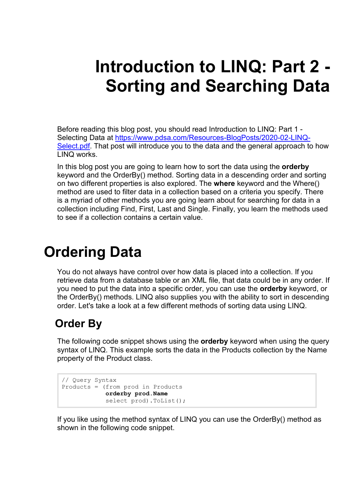# **Introduction to LINQ: Part 2 - Sorting and Searching Data**

Before reading this blog post, you should read Introduction to LINQ: Part 1 - Selecting Data at [https://www.pdsa.com/Resources-BlogPosts/2020-02-LINQ-](https://www.pdsa.com/Resources-BlogPosts/2020-02-LINQ-Select.pdf)[Select.pdf.](https://www.pdsa.com/Resources-BlogPosts/2020-02-LINQ-Select.pdf) That post will introduce you to the data and the general approach to how LINQ works.

In this blog post you are going to learn how to sort the data using the **orderby** keyword and the OrderBy() method. Sorting data in a descending order and sorting on two different properties is also explored. The **where** keyword and the Where() method are used to filter data in a collection based on a criteria you specify. There is a myriad of other methods you are going learn about for searching for data in a collection including Find, First, Last and Single. Finally, you learn the methods used to see if a collection contains a certain value.

## **Ordering Data**

You do not always have control over how data is placed into a collection. If you retrieve data from a database table or an XML file, that data could be in any order. If you need to put the data into a specific order, you can use the **orderby** keyword, or the OrderBy() methods. LINQ also supplies you with the ability to sort in descending order. Let's take a look at a few different methods of sorting data using LINQ.

### **Order By**

The following code snippet shows using the **orderby** keyword when using the query syntax of LINQ. This example sorts the data in the Products collection by the Name property of the Product class.

```
// Query Syntax
Products = (from prod in Products
            orderby prod.Name
             select prod).ToList();
```
If you like using the method syntax of LINQ you can use the OrderBy() method as shown in the following code snippet.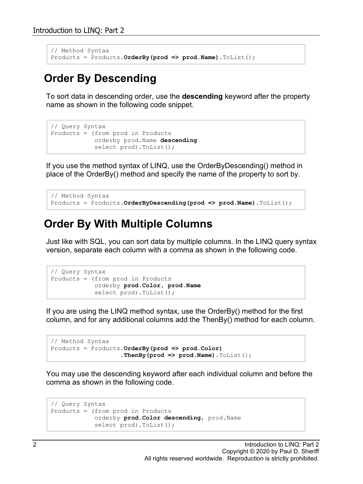```
// Method Syntax
Products = Products.OrderBy(prod => prod.Name).ToList();
```
#### **Order By Descending**

To sort data in descending order, use the **descending** keyword after the property name as shown in the following code snippet.

```
// Query Syntax
Products = (from prod in Products
             orderby prod.Name descending
             select prod).ToList();
```
If you use the method syntax of LINQ, use the OrderByDescending() method in place of the OrderBy() method and specify the name of the property to sort by.

```
// Method Syntax
Products = Products.OrderByDescending(prod => prod.Name).ToList();
```
#### **Order By With Multiple Columns**

Just like with SQL, you can sort data by multiple columns. In the LINQ query syntax version, separate each column with a comma as shown in the following code.

```
// Query Syntax
Products = (from prod in Products
            orderby prod.Color, prod.Name
             select prod).ToList();
```
If you are using the LINQ method syntax, use the OrderBy() method for the first column, and for any additional columns add the ThenBy() method for each column.

```
// Method Syntax
Products = Products.OrderBy(prod => prod.Color)
                    .ThenBy(prod => prod.Name).ToList();
```
You may use the descending keyword after each individual column and before the comma as shown in the following code.

```
// Query Syntax
Products = (from prod in Products
            orderby prod.Color descending, prod.Name
             select prod).ToList();
```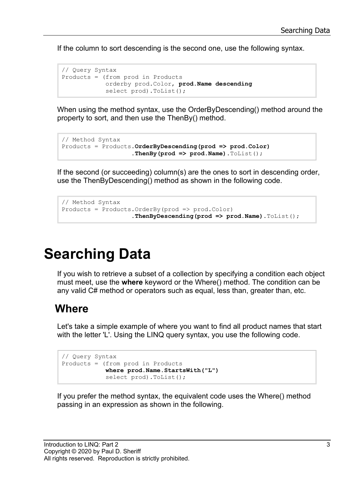If the column to sort descending is the second one, use the following syntax.

```
// Query Syntax
Products = (from prod in Products
            orderby prod.Color, prod.Name descending
             select prod).ToList();
```
When using the method syntax, use the OrderByDescending() method around the property to sort, and then use the ThenBy() method.

```
// Method Syntax
Products = Products.OrderByDescending(prod => prod.Color)
                    .ThenBy(prod => prod.Name).ToList();
```
If the second (or succeeding) column(s) are the ones to sort in descending order, use the ThenByDescending() method as shown in the following code.

```
// Method Syntax
Products = Products.OrderBy(prod => prod.Color)
                    .ThenByDescending(prod => prod.Name).ToList();
```
## **Searching Data**

If you wish to retrieve a subset of a collection by specifying a condition each object must meet, use the **where** keyword or the Where() method. The condition can be any valid C# method or operators such as equal, less than, greater than, etc.

#### **Where**

Let's take a simple example of where you want to find all product names that start with the letter 'L'. Using the LINQ query syntax, you use the following code.

```
// Query Syntax
Products = (from prod in Products
             where prod.Name.StartsWith("L")
             select prod).ToList();
```
If you prefer the method syntax, the equivalent code uses the Where() method passing in an expression as shown in the following.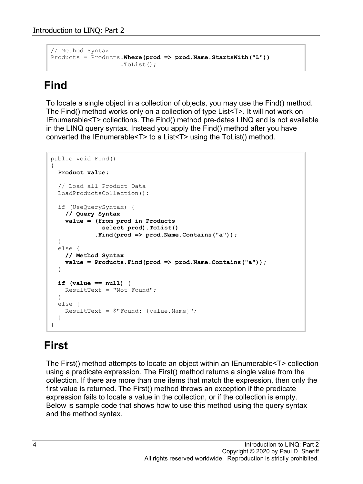```
// Method Syntax
Products = Products.Where(prod => prod.Name.StartsWith("L"))
                     .ToList();
```
### **Find**

To locate a single object in a collection of objects, you may use the Find() method. The Find() method works only on a collection of type List<T>. It will not work on IEnumerable<T> collections. The Find() method pre-dates LINQ and is not available in the LINQ query syntax. Instead you apply the Find() method after you have converted the IEnumerable<T> to a List<T> using the ToList() method.

```
public void Find()
{
   Product value;
   // Load all Product Data
   LoadProductsCollection();
   if (UseQuerySyntax) {
    // Query Syntax
     value = (from prod in Products
               select prod).ToList()
              .Find(prod => prod.Name.Contains("a"));
   }
   else {
    // Method Syntax
     value = Products.Find(prod => prod.Name.Contains("a"));
   }
   if (value == null) {
    ResultText = "Not Found";
   }
   else {
   ResultText = $"Found: {value.Name} }
}
```
### **First**

The First() method attempts to locate an object within an IEnumerable<T> collection using a predicate expression. The First() method returns a single value from the collection. If there are more than one items that match the expression, then only the first value is returned. The First() method throws an exception if the predicate expression fails to locate a value in the collection, or if the collection is empty. Below is sample code that shows how to use this method using the query syntax and the method syntax.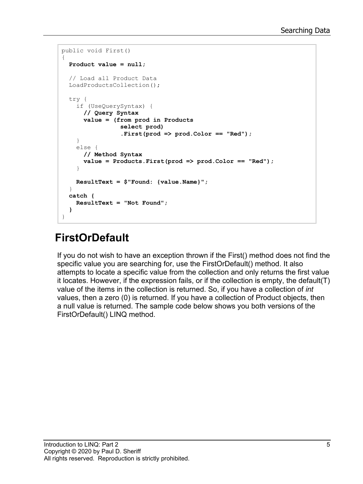```
public void First()
{
   Product value = null;
   // Load all Product Data
  LoadProductsCollection();
   try {
     if (UseQuerySyntax) {
       // Query Syntax
       value = (from prod in Products
                  select prod)
                  .First(prod => prod.Color == "Red");
     }
     else {
       // Method Syntax
       value = Products.First(prod => prod.Color == "Red");
     }
     ResultText = $"Found: {value.Name}";
   }
   catch {
     ResultText = "Not Found";
   }
}
```
### **FirstOrDefault**

If you do not wish to have an exception thrown if the First() method does not find the specific value you are searching for, use the FirstOrDefault() method. It also attempts to locate a specific value from the collection and only returns the first value it locates. However, if the expression fails, or if the collection is empty, the default(T) value of the items in the collection is returned. So, if you have a collection of *int* values, then a zero (0) is returned. If you have a collection of Product objects, then a null value is returned. The sample code below shows you both versions of the FirstOrDefault() LINQ method.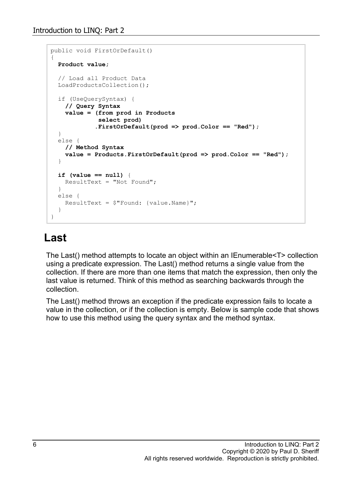```
public void FirstOrDefault()
{
   Product value;
   // Load all Product Data
   LoadProductsCollection();
   if (UseQuerySyntax) {
     // Query Syntax
     value = (from prod in Products
              select prod)
             .FirstOrDefault(prod => prod.Color == "Red");
   }
   else {
    // Method Syntax
     value = Products.FirstOrDefault(prod => prod.Color == "Red");
   }
   if (value == null) {
    ResultText = "Not Found";
   }
   else {
    ResultText = $ "Found: {value.name} }
}
```
#### **Last**

The Last() method attempts to locate an object within an IEnumerable<T> collection using a predicate expression. The Last() method returns a single value from the collection. If there are more than one items that match the expression, then only the last value is returned. Think of this method as searching backwards through the collection.

The Last() method throws an exception if the predicate expression fails to locate a value in the collection, or if the collection is empty. Below is sample code that shows how to use this method using the query syntax and the method syntax.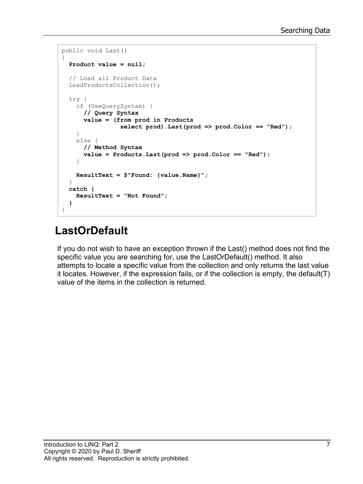```
public void Last()
{
   Product value = null;
   // Load all Product Data
   LoadProductsCollection();
   try {
     if (UseQuerySyntax) {
       // Query Syntax
       value = (from prod in Products
                  select prod).Last(prod => prod.Color == "Red");
     }
     else {
       // Method Syntax
       value = Products.Last(prod => prod.Color == "Red");
     }
     ResultText = $"Found: {value.Name}";
   }
   catch {
     ResultText = "Not Found";
   }
}
```
### **LastOrDefault**

If you do not wish to have an exception thrown if the Last() method does not find the specific value you are searching for, use the LastOrDefault() method. It also attempts to locate a specific value from the collection and only returns the last value it locates. However, if the expression fails, or if the collection is empty, the default(T) value of the items in the collection is returned.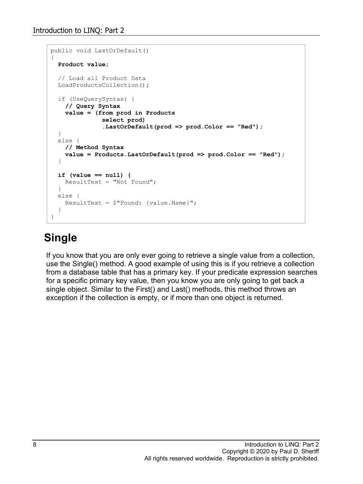```
public void LastOrDefault()
{
   Product value;
   // Load all Product Data
   LoadProductsCollection();
   if (UseQuerySyntax) {
     // Query Syntax
     value = (from prod in Products
               select prod)
               .LastOrDefault(prod => prod.Color == "Red");
   }
   else {
    // Method Syntax
     value = Products.LastOrDefault(prod => prod.Color == "Red");
   }
   if (value == null) {
    ResultText = "Not Found";
   }
   else {
    ResultText = $ "Found: {value.name} }
}
```
#### **Single**

If you know that you are only ever going to retrieve a single value from a collection, use the Single() method. A good example of using this is if you retrieve a collection from a database table that has a primary key. If your predicate expression searches for a specific primary key value, then you know you are only going to get back a single object. Similar to the First() and Last() methods, this method throws an exception if the collection is empty, or if more than one object is returned.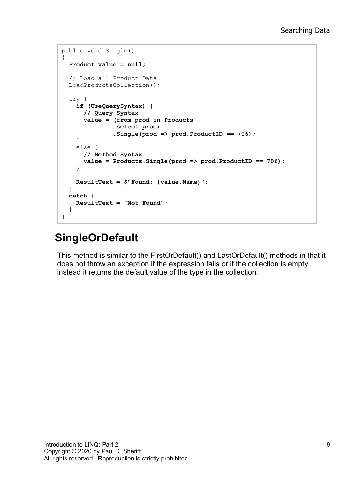```
public void Single()
{
   Product value = null;
   // Load all Product Data
   LoadProductsCollection();
   try {
     if (UseQuerySyntax) {
       // Query Syntax
       value = (from prod in Products
                 select prod)
                .Single(prod => prod.ProductID == 706);
     }
     else {
       // Method Syntax
       value = Products.Single(prod => prod.ProductID == 706);
     }
     ResultText = $"Found: {value.Name}";
   }
   catch {
     ResultText = "Not Found";
   }
}
```
### **SingleOrDefault**

This method is similar to the FirstOrDefault() and LastOrDefault() methods in that it does not throw an exception if the expression fails or if the collection is empty, instead it returns the default value of the type in the collection.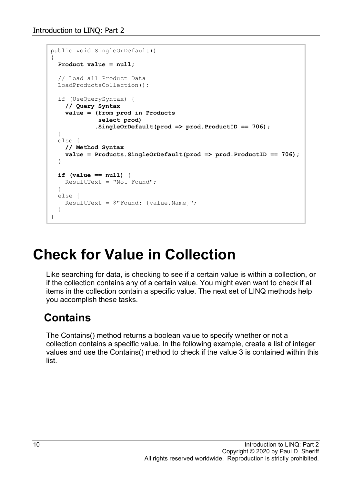```
public void SingleOrDefault()
{
   Product value = null;
   // Load all Product Data
   LoadProductsCollection();
   if (UseQuerySyntax) {
     // Query Syntax
     value = (from prod in Products
              select prod)
             .SingleOrDefault(prod => prod.ProductID == 706);
   }
   else {
    // Method Syntax
     value = Products.SingleOrDefault(prod => prod.ProductID == 706);
  }
   if (value == null) {
    ResultText = "Not Found";
   }
   else {
    ResultText = $ "Found: {value.name} }
}
```
## **Check for Value in Collection**

Like searching for data, is checking to see if a certain value is within a collection, or if the collection contains any of a certain value. You might even want to check if all items in the collection contain a specific value. The next set of LINQ methods help you accomplish these tasks.

#### **Contains**

The Contains() method returns a boolean value to specify whether or not a collection contains a specific value. In the following example, create a list of integer values and use the Contains() method to check if the value 3 is contained within this list.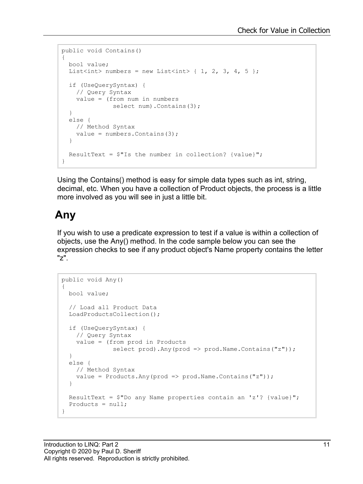```
public void Contains()
{
  bool value;
 List<int> numbers = new List<int> { 1, 2, 3, 4, 5 };
  if (UseQuerySyntax) {
    // Query Syntax
    value = (from num in numbers
               select num).Contains(3);
   }
  else {
    // Method Syntax
   value = numbers.Contains(3);
   }
  ResultText = $"Is the number in collection? {value}'';}
```
Using the Contains() method is easy for simple data types such as int, string, decimal, etc. When you have a collection of Product objects, the process is a little more involved as you will see in just a little bit.

#### **Any**

If you wish to use a predicate expression to test if a value is within a collection of objects, use the Any() method. In the code sample below you can see the expression checks to see if any product object's Name property contains the letter "z".

```
public void Any()
{
   bool value;
   // Load all Product Data
   LoadProductsCollection();
   if (UseQuerySyntax) {
     // Query Syntax
     value = (from prod in Products
               select prod).Any(prod => prod.Name.Contains("z"));
   }
   else {
     // Method Syntax
    value = Products.Any(prod => prod.Name.Contains("z"));
   }
  ResultText = $^{\circ}Do any Name properties contain an 'z'? {value}";
  Products = null;}
```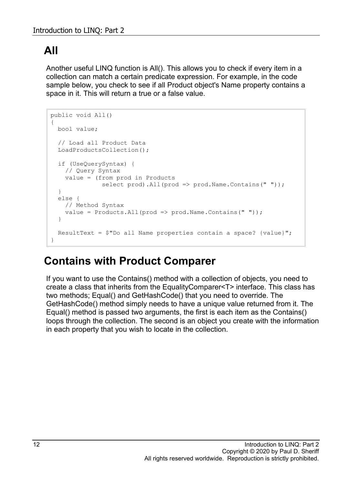#### **All**

Another useful LINQ function is All(). This allows you to check if every item in a collection can match a certain predicate expression. For example, in the code sample below, you check to see if all Product object's Name property contains a space in it. This will return a true or a false value.

```
public void All()
{
  bool value;
   // Load all Product Data
   LoadProductsCollection();
   if (UseQuerySyntax) {
    // Query Syntax
     value = (from prod in Products
               select prod).All(prod => prod.Name.Contains(" "));
   }
   else {
     // Method Syntax
    value = Products. All(prod => prod. Name. Contains(" "));
   }
  ResultText = $^{\prime\prime}Do all Name properties contain a space? {value}";
}
```
#### **Contains with Product Comparer**

If you want to use the Contains() method with a collection of objects, you need to create a class that inherits from the EqualityComparer<T> interface. This class has two methods; Equal() and GetHashCode() that you need to override. The GetHashCode() method simply needs to have a unique value returned from it. The Equal() method is passed two arguments, the first is each item as the Contains() loops through the collection. The second is an object you create with the information in each property that you wish to locate in the collection.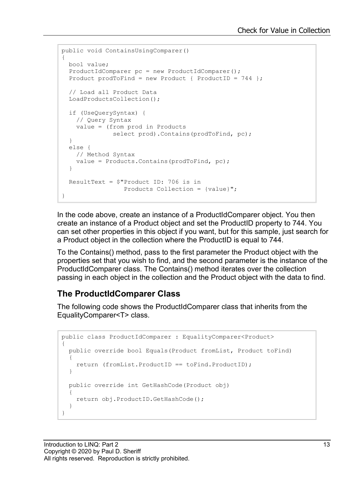```
public void ContainsUsingComparer()
{
  bool value;
  ProductIdComparer pc = new ProductIdComparer();
 Product prodToFind = new Product { ProductID = 744 };
   // Load all Product Data
  LoadProductsCollection();
   if (UseQuerySyntax) {
    // Query Syntax
    value = (from prod in Products
             select prod). Contains (prodToFind, pc);
   }
  else {
    // Method Syntax
    value = Products.Contains(prodToFind, pc);
   }
  ResultText = $"Product ID: 706 is in 
                Products Collection = {value}";
}
```
In the code above, create an instance of a ProductIdComparer object. You then create an instance of a Product object and set the ProductID property to 744. You can set other properties in this object if you want, but for this sample, just search for a Product object in the collection where the ProductID is equal to 744.

To the Contains() method, pass to the first parameter the Product object with the properties set that you wish to find, and the second parameter is the instance of the ProductIdComparer class. The Contains() method iterates over the collection passing in each object in the collection and the Product object with the data to find.

#### **The ProductIdComparer Class**

The following code shows the ProductIdComparer class that inherits from the EqualityComparer<T> class.

```
public class ProductIdComparer : EqualityComparer<Product>
{
  public override bool Equals(Product fromList, Product toFind)
   {
     return (fromList.ProductID == toFind.ProductID);
 }
  public override int GetHashCode(Product obj)
   {
     return obj.ProductID.GetHashCode();
   }
}
```